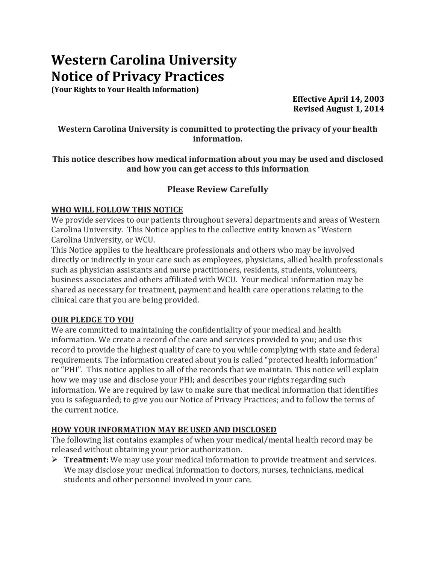# **Western Carolina University Notice of Privacy Practices**

**(Your Rights to Your Health Information)**

**Effective April 14, 2003 Revised August 1, 2014**

**Western Carolina University is committed to protecting the privacy of your health information.**

#### **This notice describes how medical information about you may be used and disclosed and how you can get access to this information**

# **Please Review Carefully**

#### **WHO WILL FOLLOW THIS NOTICE**

We provide services to our patients throughout several departments and areas of Western Carolina University. This Notice applies to the collective entity known as "Western Carolina University, or WCU.

This Notice applies to the healthcare professionals and others who may be involved directly or indirectly in your care such as employees, physicians, allied health professionals such as physician assistants and nurse practitioners, residents, students, volunteers, business associates and others affiliated with WCU. Your medical information may be shared as necessary for treatment, payment and health care operations relating to the clinical care that you are being provided.

## **OUR PLEDGE TO YOU**

We are committed to maintaining the confidentiality of your medical and health information. We create a record of the care and services provided to you; and use this record to provide the highest quality of care to you while complying with state and federal requirements. The information created about you is called "protected health information" or "PHI". This notice applies to all of the records that we maintain. This notice will explain how we may use and disclose your PHI; and describes your rights regarding such information. We are required by law to make sure that medical information that identifies you is safeguarded; to give you our Notice of Privacy Practices; and to follow the terms of the current notice.

## **HOW YOUR INFORMATION MAY BE USED AND DISCLOSED**

The following list contains examples of when your medical/mental health record may be released without obtaining your prior authorization.

 **Treatment:** We may use your medical information to provide treatment and services. We may disclose your medical information to doctors, nurses, technicians, medical students and other personnel involved in your care.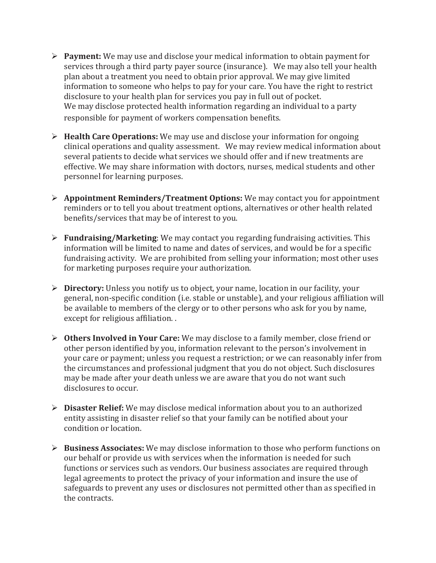- **Payment:** We may use and disclose your medical information to obtain payment for services through a third party payer source (insurance). We may also tell your health plan about a treatment you need to obtain prior approval. We may give limited information to someone who helps to pay for your care. You have the right to restrict disclosure to your health plan for services you pay in full out of pocket. We may disclose protected health information regarding an individual to a party responsible for payment of workers compensation benefits.
- **Health Care Operations:** We may use and disclose your information for ongoing clinical operations and quality assessment. We may review medical information about several patients to decide what services we should offer and if new treatments are effective. We may share information with doctors, nurses, medical students and other personnel for learning purposes.
- **Appointment Reminders/Treatment Options:** We may contact you for appointment reminders or to tell you about treatment options, alternatives or other health related benefits/services that may be of interest to you.
- **Fundraising/Marketing**: We may contact you regarding fundraising activities. This information will be limited to name and dates of services, and would be for a specific fundraising activity. We are prohibited from selling your information; most other uses for marketing purposes require your authorization.
- **Directory:** Unless you notify us to object, your name, location in our facility, your general, non-specific condition (i.e. stable or unstable), and your religious affiliation will be available to members of the clergy or to other persons who ask for you by name, except for religious affiliation. .
- **Others Involved in Your Care:** We may disclose to a family member, close friend or other person identified by you, information relevant to the person's involvement in your care or payment; unless you request a restriction; or we can reasonably infer from the circumstances and professional judgment that you do not object. Such disclosures may be made after your death unless we are aware that you do not want such disclosures to occur.
- **Disaster Relief:** We may disclose medical information about you to an authorized entity assisting in disaster relief so that your family can be notified about your condition or location.
- **Business Associates:** We may disclose information to those who perform functions on our behalf or provide us with services when the information is needed for such functions or services such as vendors. Our business associates are required through legal agreements to protect the privacy of your information and insure the use of safeguards to prevent any uses or disclosures not permitted other than as specified in the contracts.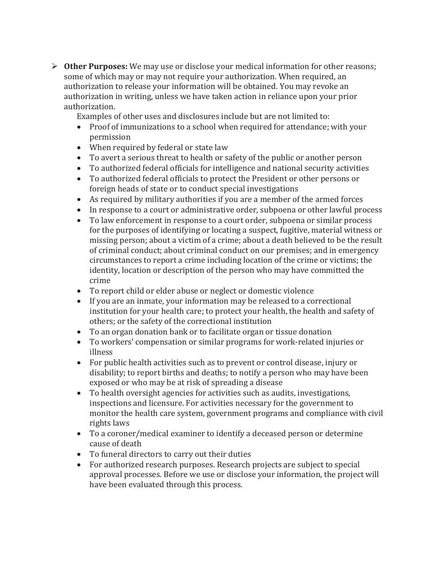**Other Purposes:** We may use or disclose your medical information for other reasons; some of which may or may not require your authorization. When required, an authorization to release your information will be obtained. You may revoke an authorization in writing, unless we have taken action in reliance upon your prior authorization.

Examples of other uses and disclosures include but are not limited to:

- Proof of immunizations to a school when required for attendance; with your permission
- When required by federal or state law
- To avert a serious threat to health or safety of the public or another person
- To authorized federal officials for intelligence and national security activities
- To authorized federal officials to protect the President or other persons or foreign heads of state or to conduct special investigations
- As required by military authorities if you are a member of the armed forces
- In response to a court or administrative order, subpoena or other lawful process
- To law enforcement in response to a court order, subpoena or similar process for the purposes of identifying or locating a suspect, fugitive, material witness or missing person; about a victim of a crime; about a death believed to be the result of criminal conduct; about criminal conduct on our premises; and in emergency circumstances to report a crime including location of the crime or victims; the identity, location or description of the person who may have committed the crime
- To report child or elder abuse or neglect or domestic violence
- If you are an inmate, your information may be released to a correctional institution for your health care; to protect your health, the health and safety of others; or the safety of the correctional institution
- To an organ donation bank or to facilitate organ or tissue donation
- To workers' compensation or similar programs for work-related injuries or illness
- For public health activities such as to prevent or control disease, injury or disability; to report births and deaths; to notify a person who may have been exposed or who may be at risk of spreading a disease
- To health oversight agencies for activities such as audits, investigations, inspections and licensure. For activities necessary for the government to monitor the health care system, government programs and compliance with civil rights laws
- To a coroner/medical examiner to identify a deceased person or determine cause of death
- To funeral directors to carry out their duties
- For authorized research purposes. Research projects are subject to special approval processes. Before we use or disclose your information, the project will have been evaluated through this process.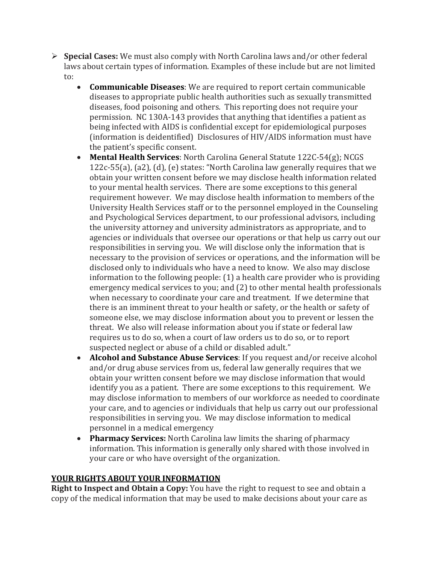- **Special Cases:** We must also comply with North Carolina laws and/or other federal laws about certain types of information. Examples of these include but are not limited to:
	- **Communicable Diseases**: We are required to report certain communicable diseases to appropriate public health authorities such as sexually transmitted diseases, food poisoning and others. This reporting does not require your permission. NC 130A-143 provides that anything that identifies a patient as being infected with AIDS is confidential except for epidemiological purposes (information is deidentified) Disclosures of HIV/AIDS information must have the patient's specific consent.
	- **Mental Health Services**: North Carolina General Statute 122C-54(g); NCGS 122c-55(a), (a2), (d), (e) states: "North Carolina law generally requires that we obtain your written consent before we may disclose health information related to your mental health services. There are some exceptions to this general requirement however. We may disclose health information to members of the University Health Services staff or to the personnel employed in the Counseling and Psychological Services department, to our professional advisors, including the university attorney and university administrators as appropriate, and to agencies or individuals that oversee our operations or that help us carry out our responsibilities in serving you. We will disclose only the information that is necessary to the provision of services or operations, and the information will be disclosed only to individuals who have a need to know. We also may disclose information to the following people: (1) a health care provider who is providing emergency medical services to you; and (2) to other mental health professionals when necessary to coordinate your care and treatment. If we determine that there is an imminent threat to your health or safety, or the health or safety of someone else, we may disclose information about you to prevent or lessen the threat. We also will release information about you if state or federal law requires us to do so, when a court of law orders us to do so, or to report suspected neglect or abuse of a child or disabled adult."
	- **Alcohol and Substance Abuse Services**: If you request and/or receive alcohol and/or drug abuse services from us, federal law generally requires that we obtain your written consent before we may disclose information that would identify you as a patient. There are some exceptions to this requirement. We may disclose information to members of our workforce as needed to coordinate your care, and to agencies or individuals that help us carry out our professional responsibilities in serving you. We may disclose information to medical personnel in a medical emergency
	- **Pharmacy Services:** North Carolina law limits the sharing of pharmacy information. This information is generally only shared with those involved in your care or who have oversight of the organization.

## **YOUR RIGHTS ABOUT YOUR INFORMATION**

**Right to Inspect and Obtain a Copy:** You have the right to request to see and obtain a copy of the medical information that may be used to make decisions about your care as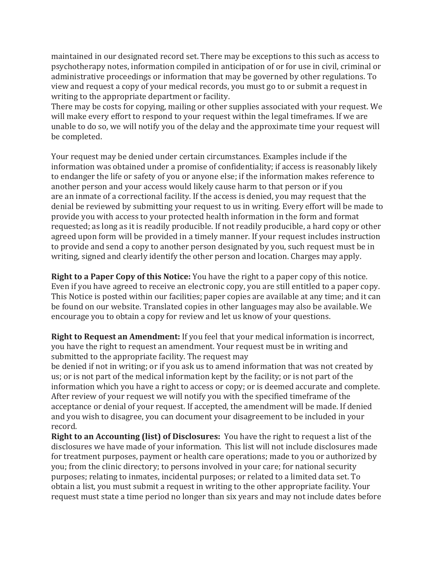maintained in our designated record set. There may be exceptions to this such as access to psychotherapy notes, information compiled in anticipation of or for use in civil, criminal or administrative proceedings or information that may be governed by other regulations. To view and request a copy of your medical records, you must go to or submit a request in writing to the appropriate department or facility.

There may be costs for copying, mailing or other supplies associated with your request. We will make every effort to respond to your request within the legal timeframes. If we are unable to do so, we will notify you of the delay and the approximate time your request will be completed.

Your request may be denied under certain circumstances. Examples include if the information was obtained under a promise of confidentiality; if access is reasonably likely to endanger the life or safety of you or anyone else; if the information makes reference to another person and your access would likely cause harm to that person or if you are an inmate of a correctional facility. If the access is denied, you may request that the denial be reviewed by submitting your request to us in writing. Every effort will be made to provide you with access to your protected health information in the form and format requested; as long as it is readily producible. If not readily producible, a hard copy or other agreed upon form will be provided in a timely manner. If your request includes instruction to provide and send a copy to another person designated by you, such request must be in writing, signed and clearly identify the other person and location. Charges may apply.

**Right to a Paper Copy of this Notice:** You have the right to a paper copy of this notice. Even if you have agreed to receive an electronic copy, you are still entitled to a paper copy. This Notice is posted within our facilities; paper copies are available at any time; and it can be found on our website. Translated copies in other languages may also be available. We encourage you to obtain a copy for review and let us know of your questions.

**Right to Request an Amendment:** If you feel that your medical information is incorrect, you have the right to request an amendment. Your request must be in writing and submitted to the appropriate facility. The request may

be denied if not in writing; or if you ask us to amend information that was not created by us; or is not part of the medical information kept by the facility; or is not part of the information which you have a right to access or copy; or is deemed accurate and complete. After review of your request we will notify you with the specified timeframe of the acceptance or denial of your request. If accepted, the amendment will be made. If denied and you wish to disagree, you can document your disagreement to be included in your record.

**Right to an Accounting (list) of Disclosures:** You have the right to request a list of the disclosures we have made of your information. This list will not include disclosures made for treatment purposes, payment or health care operations; made to you or authorized by you; from the clinic directory; to persons involved in your care; for national security purposes; relating to inmates, incidental purposes; or related to a limited data set. To obtain a list, you must submit a request in writing to the other appropriate facility. Your request must state a time period no longer than six years and may not include dates before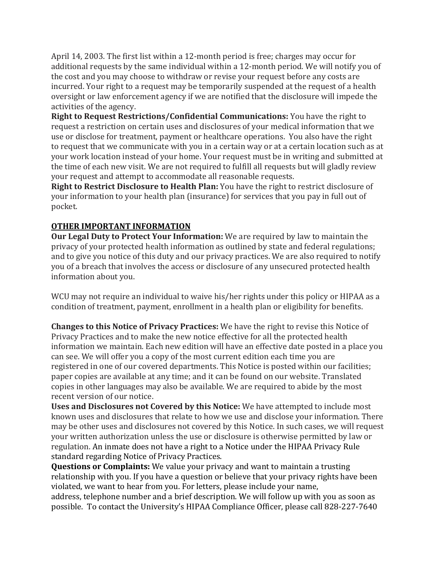April 14, 2003. The first list within a 12-month period is free; charges may occur for additional requests by the same individual within a 12-month period. We will notify you of the cost and you may choose to withdraw or revise your request before any costs are incurred. Your right to a request may be temporarily suspended at the request of a health oversight or law enforcement agency if we are notified that the disclosure will impede the activities of the agency.

**Right to Request Restrictions/Confidential Communications:** You have the right to request a restriction on certain uses and disclosures of your medical information that we use or disclose for treatment, payment or healthcare operations. You also have the right to request that we communicate with you in a certain way or at a certain location such as at your work location instead of your home. Your request must be in writing and submitted at the time of each new visit. We are not required to fulfill all requests but will gladly review your request and attempt to accommodate all reasonable requests.

**Right to Restrict Disclosure to Health Plan:** You have the right to restrict disclosure of your information to your health plan (insurance) for services that you pay in full out of pocket.

## **OTHER IMPORTANT INFORMATION**

**Our Legal Duty to Protect Your Information:** We are required by law to maintain the privacy of your protected health information as outlined by state and federal regulations; and to give you notice of this duty and our privacy practices. We are also required to notify you of a breach that involves the access or disclosure of any unsecured protected health information about you.

WCU may not require an individual to waive his/her rights under this policy or HIPAA as a condition of treatment, payment, enrollment in a health plan or eligibility for benefits.

**Changes to this Notice of Privacy Practices:** We have the right to revise this Notice of Privacy Practices and to make the new notice effective for all the protected health information we maintain. Each new edition will have an effective date posted in a place you can see. We will offer you a copy of the most current edition each time you are registered in one of our covered departments. This Notice is posted within our facilities; paper copies are available at any time; and it can be found on our website. Translated copies in other languages may also be available. We are required to abide by the most recent version of our notice.

**Uses and Disclosures not Covered by this Notice:** We have attempted to include most known uses and disclosures that relate to how we use and disclose your information. There may be other uses and disclosures not covered by this Notice. In such cases, we will request your written authorization unless the use or disclosure is otherwise permitted by law or regulation. An inmate does not have a right to a Notice under the HIPAA Privacy Rule standard regarding Notice of Privacy Practices.

**Questions or Complaints:** We value your privacy and want to maintain a trusting relationship with you. If you have a question or believe that your privacy rights have been violated, we want to hear from you. For letters, please include your name,

address, telephone number and a brief description. We will follow up with you as soon as possible. To contact the University's HIPAA Compliance Officer, please call 828-227-7640